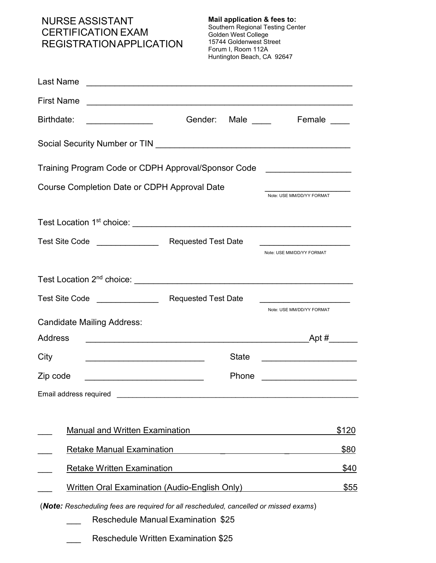## NURSE ASSISTANT CERTIFICATION EXAM REGISTRATION APPLICATION

**Mail application & fees to:**  Southern Regional Testing Center Golden West College 15744 Goldenwest Street Forum I, Room 112A Huntington Beach, CA 92647

| Last Name                                                                                                                          |                            |              |                                                                                  |       |
|------------------------------------------------------------------------------------------------------------------------------------|----------------------------|--------------|----------------------------------------------------------------------------------|-------|
| <b>First Name</b>                                                                                                                  |                            |              | <u> 1989 - Johann Barbara, martxa alemaniar argumentuar argumenti (h. 1989).</u> |       |
| Birthdate:                                                                                                                         | Gender:                    | Male $\_\_$  | Female                                                                           |       |
|                                                                                                                                    |                            |              |                                                                                  |       |
| Training Program Code or CDPH Approval/Sponsor Code                                                                                |                            |              |                                                                                  |       |
| Course Completion Date or CDPH Approval Date                                                                                       |                            |              | Note: USE MM/DD/YY FORMAT                                                        |       |
|                                                                                                                                    |                            |              |                                                                                  |       |
| Test Site Code _______________                                                                                                     | <b>Requested Test Date</b> |              | Note: USE MM/DD/YY FORMAT                                                        |       |
|                                                                                                                                    |                            |              |                                                                                  |       |
| Test Site Code _______________                                                                                                     | <b>Requested Test Date</b> |              |                                                                                  |       |
| <b>Candidate Mailing Address:</b>                                                                                                  |                            |              | Note: USE MM/DD/YY FORMAT                                                        |       |
| <b>Address</b>                                                                                                                     |                            |              | Apt $#$                                                                          |       |
| City<br><u> 1989 - Johann John Stone, markin film yn y brenin y brenin y brenin y brenin y brenin y brenin y brenin y br</u>       |                            | <b>State</b> |                                                                                  |       |
| Zip code<br><u> 1989 - Johann Barbara, martxa alemaniar arg</u>                                                                    |                            | Phone        |                                                                                  |       |
|                                                                                                                                    |                            |              |                                                                                  |       |
| <b>Manual and Written Examination</b>                                                                                              |                            |              |                                                                                  | \$120 |
| <b>Retake Manual Examination</b>                                                                                                   |                            |              |                                                                                  | \$80  |
| <b>Retake Written Examination</b>                                                                                                  |                            |              |                                                                                  | \$40  |
| <b>Written Oral Examination (Audio-English Only)</b>                                                                               |                            |              |                                                                                  | \$55  |
| (Note: Rescheduling fees are required for all rescheduled, cancelled or missed exams)<br><b>Reschedule Manual Examination \$25</b> |                            |              |                                                                                  |       |
| <b>Reschedule Written Examination \$25</b>                                                                                         |                            |              |                                                                                  |       |